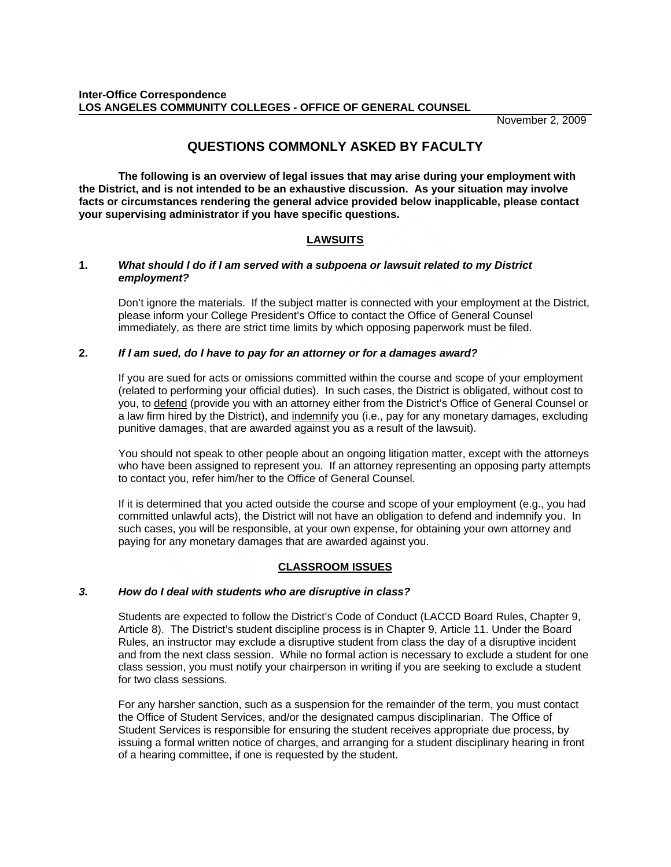November 2, 2009

# **QUESTIONS COMMONLY ASKED BY FACULTY**

**The following is an overview of legal issues that may arise during your employment with the District, and is not intended to be an exhaustive discussion. As your situation may involve facts or circumstances rendering the general advice provided below inapplicable, please contact your supervising administrator if you have specific questions.** 

# **LAWSUITS**

# **1.** *What should I do if I am served with a subpoena or lawsuit related to my District employment?*

Don't ignore the materials. If the subject matter is connected with your employment at the District, please inform your College President's Office to contact the Office of General Counsel immediately, as there are strict time limits by which opposing paperwork must be filed.

# **2.** *If I am sued, do I have to pay for an attorney or for a damages award?*

If you are sued for acts or omissions committed within the course and scope of your employment (related to performing your official duties). In such cases, the District is obligated, without cost to you, to defend (provide you with an attorney either from the District's Office of General Counsel or a law firm hired by the District), and indemnify you (i.e., pay for any monetary damages, excluding punitive damages, that are awarded against you as a result of the lawsuit).

You should not speak to other people about an ongoing litigation matter, except with the attorneys who have been assigned to represent you. If an attorney representing an opposing party attempts to contact you, refer him/her to the Office of General Counsel.

If it is determined that you acted outside the course and scope of your employment (e.g., you had committed unlawful acts), the District will not have an obligation to defend and indemnify you. In such cases, you will be responsible, at your own expense, for obtaining your own attorney and paying for any monetary damages that are awarded against you.

# **CLASSROOM ISSUES**

#### *3. How do I deal with students who are disruptive in class?*

Students are expected to follow the District's Code of Conduct (LACCD Board Rules, Chapter 9, Article 8). The District's student discipline process is in Chapter 9, Article 11. Under the Board Rules, an instructor may exclude a disruptive student from class the day of a disruptive incident and from the next class session. While no formal action is necessary to exclude a student for one class session, you must notify your chairperson in writing if you are seeking to exclude a student for two class sessions.

For any harsher sanction, such as a suspension for the remainder of the term, you must contact the Office of Student Services, and/or the designated campus disciplinarian. The Office of Student Services is responsible for ensuring the student receives appropriate due process, by issuing a formal written notice of charges, and arranging for a student disciplinary hearing in front of a hearing committee, if one is requested by the student.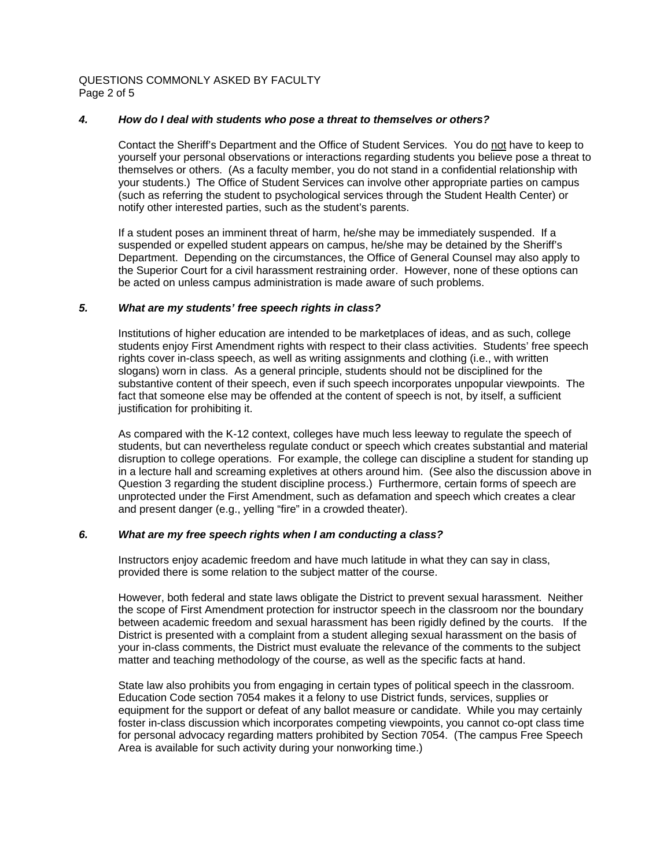QUESTIONS COMMONLY ASKED BY FACULTY Page 2 of 5

# *4. How do I deal with students who pose a threat to themselves or others?*

Contact the Sheriff's Department and the Office of Student Services. You do not have to keep to yourself your personal observations or interactions regarding students you believe pose a threat to themselves or others. (As a faculty member, you do not stand in a confidential relationship with your students.) The Office of Student Services can involve other appropriate parties on campus (such as referring the student to psychological services through the Student Health Center) or notify other interested parties, such as the student's parents.

If a student poses an imminent threat of harm, he/she may be immediately suspended. If a suspended or expelled student appears on campus, he/she may be detained by the Sheriff's Department. Depending on the circumstances, the Office of General Counsel may also apply to the Superior Court for a civil harassment restraining order. However, none of these options can be acted on unless campus administration is made aware of such problems.

# *5. What are my students' free speech rights in class?*

Institutions of higher education are intended to be marketplaces of ideas, and as such, college students enjoy First Amendment rights with respect to their class activities. Students' free speech rights cover in-class speech, as well as writing assignments and clothing (i.e., with written slogans) worn in class. As a general principle, students should not be disciplined for the substantive content of their speech, even if such speech incorporates unpopular viewpoints. The fact that someone else may be offended at the content of speech is not, by itself, a sufficient justification for prohibiting it.

As compared with the K-12 context, colleges have much less leeway to regulate the speech of students, but can nevertheless regulate conduct or speech which creates substantial and material disruption to college operations. For example, the college can discipline a student for standing up in a lecture hall and screaming expletives at others around him. (See also the discussion above in Question 3 regarding the student discipline process.) Furthermore, certain forms of speech are unprotected under the First Amendment, such as defamation and speech which creates a clear and present danger (e.g., yelling "fire" in a crowded theater).

# *6. What are my free speech rights when I am conducting a class?*

Instructors enjoy academic freedom and have much latitude in what they can say in class, provided there is some relation to the subject matter of the course.

However, both federal and state laws obligate the District to prevent sexual harassment. Neither the scope of First Amendment protection for instructor speech in the classroom nor the boundary between academic freedom and sexual harassment has been rigidly defined by the courts. If the District is presented with a complaint from a student alleging sexual harassment on the basis of your in-class comments, the District must evaluate the relevance of the comments to the subject matter and teaching methodology of the course, as well as the specific facts at hand.

State law also prohibits you from engaging in certain types of political speech in the classroom. Education Code section 7054 makes it a felony to use District funds, services, supplies or equipment for the support or defeat of any ballot measure or candidate. While you may certainly foster in-class discussion which incorporates competing viewpoints, you cannot co-opt class time for personal advocacy regarding matters prohibited by Section 7054. (The campus Free Speech Area is available for such activity during your nonworking time.)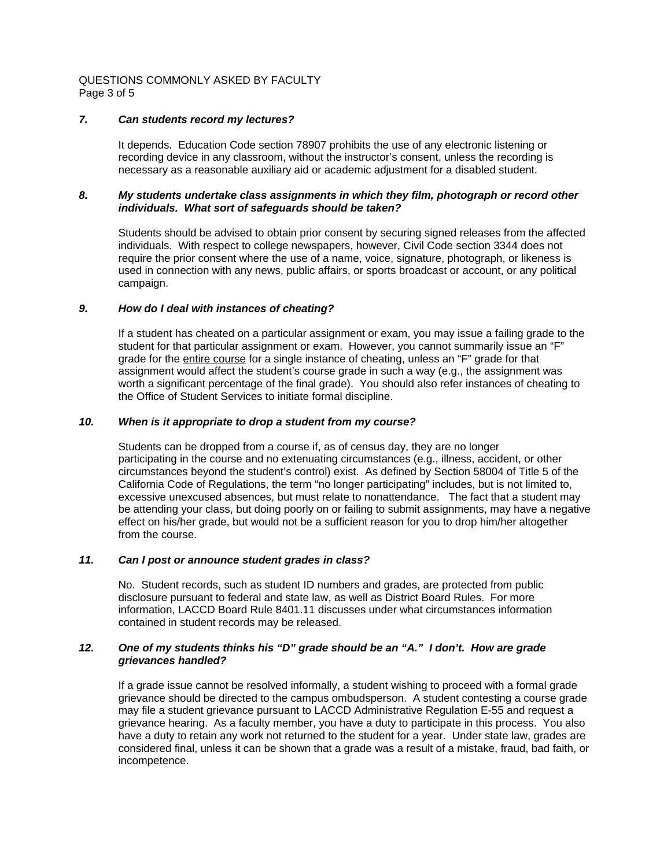QUESTIONS COMMONLY ASKED BY FACULTY Page 3 of 5

# *7. Can students record my lectures?*

It depends. Education Code section 78907 prohibits the use of any electronic listening or recording device in any classroom, without the instructor's consent, unless the recording is necessary as a reasonable auxiliary aid or academic adjustment for a disabled student.

#### *8. My students undertake class assignments in which they film, photograph or record other individuals. What sort of safeguards should be taken?*

Students should be advised to obtain prior consent by securing signed releases from the affected individuals. With respect to college newspapers, however, Civil Code section 3344 does not require the prior consent where the use of a name, voice, signature, photograph, or likeness is used in connection with any news, public affairs, or sports broadcast or account, or any political campaign.

#### *9. How do I deal with instances of cheating?*

If a student has cheated on a particular assignment or exam, you may issue a failing grade to the student for that particular assignment or exam. However, you cannot summarily issue an "F" grade for the entire course for a single instance of cheating, unless an "F" grade for that assignment would affect the student's course grade in such a way (e.g., the assignment was worth a significant percentage of the final grade). You should also refer instances of cheating to the Office of Student Services to initiate formal discipline.

# *10. When is it appropriate to drop a student from my course?*

 Students can be dropped from a course if, as of census day, they are no longer participating in the course and no extenuating circumstances (e.g., illness, accident, or other circumstances beyond the student's control) exist. As defined by Section 58004 of Title 5 of the California Code of Regulations, the term "no longer participating" includes, but is not limited to, excessive unexcused absences, but must relate to nonattendance. The fact that a student may be attending your class, but doing poorly on or failing to submit assignments, may have a negative effect on his/her grade, but would not be a sufficient reason for you to drop him/her altogether from the course.

# *11. Can I post or announce student grades in class?*

No. Student records, such as student ID numbers and grades, are protected from public disclosure pursuant to federal and state law, as well as District Board Rules. For more information, LACCD Board Rule 8401.11 discusses under what circumstances information contained in student records may be released.

#### *12. One of my students thinks his "D" grade should be an "A." I don't. How are grade grievances handled?*

If a grade issue cannot be resolved informally, a student wishing to proceed with a formal grade grievance should be directed to the campus ombudsperson. A student contesting a course grade may file a student grievance pursuant to LACCD Administrative Regulation E-55 and request a grievance hearing. As a faculty member, you have a duty to participate in this process. You also have a duty to retain any work not returned to the student for a year. Under state law, grades are considered final, unless it can be shown that a grade was a result of a mistake, fraud, bad faith, or incompetence.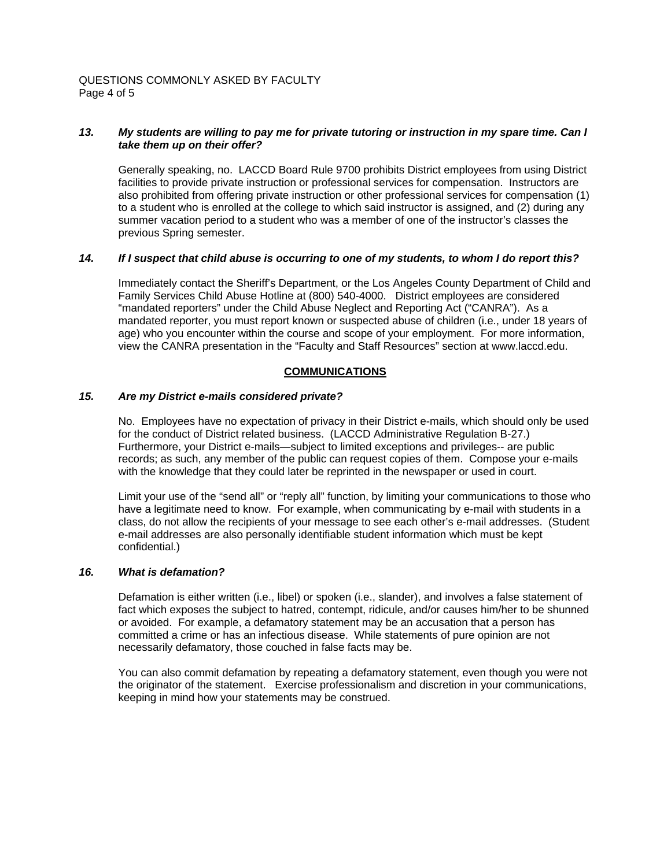QUESTIONS COMMONLY ASKED BY FACULTY Page 4 of 5

# *13. My students are willing to pay me for private tutoring or instruction in my spare time. Can I take them up on their offer?*

Generally speaking, no. LACCD Board Rule 9700 prohibits District employees from using District facilities to provide private instruction or professional services for compensation. Instructors are also prohibited from offering private instruction or other professional services for compensation (1) to a student who is enrolled at the college to which said instructor is assigned, and (2) during any summer vacation period to a student who was a member of one of the instructor's classes the previous Spring semester.

# *14. If I suspect that child abuse is occurring to one of my students, to whom I do report this?*

Immediately contact the Sheriff's Department, or the Los Angeles County Department of Child and Family Services Child Abuse Hotline at (800) 540-4000. District employees are considered "mandated reporters" under the Child Abuse Neglect and Reporting Act ("CANRA"). As a mandated reporter, you must report known or suspected abuse of children (i.e., under 18 years of age) who you encounter within the course and scope of your employment. For more information, view the CANRA presentation in the "Faculty and Staff Resources" section at www.laccd.edu.

# **COMMUNICATIONS**

# *15. Are my District e-mails considered private?*

No. Employees have no expectation of privacy in their District e-mails, which should only be used for the conduct of District related business. (LACCD Administrative Regulation B-27.) Furthermore, your District e-mails—subject to limited exceptions and privileges-- are public records; as such, any member of the public can request copies of them. Compose your e-mails with the knowledge that they could later be reprinted in the newspaper or used in court.

Limit your use of the "send all" or "reply all" function, by limiting your communications to those who have a legitimate need to know. For example, when communicating by e-mail with students in a class, do not allow the recipients of your message to see each other's e-mail addresses. (Student e-mail addresses are also personally identifiable student information which must be kept confidential.)

# *16. What is defamation?*

Defamation is either written (i.e., libel) or spoken (i.e., slander), and involves a false statement of fact which exposes the subject to hatred, contempt, ridicule, and/or causes him/her to be shunned or avoided. For example, a defamatory statement may be an accusation that a person has committed a crime or has an infectious disease. While statements of pure opinion are not necessarily defamatory, those couched in false facts may be.

You can also commit defamation by repeating a defamatory statement, even though you were not the originator of the statement. Exercise professionalism and discretion in your communications, keeping in mind how your statements may be construed.